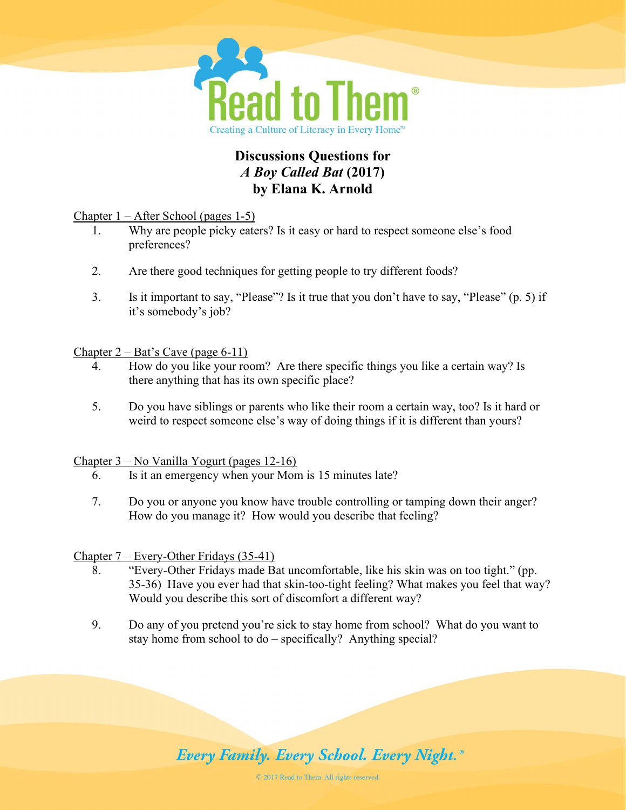

# Discussions Questions for A Boy Called Bat (2017) by Elana K. Arnold

Chapter 1 – After School (pages 1-5)

- 1. Why are people picky eaters? Is it easy or hard to respect someone else's food preferences?
- 2. Are there good techniques for getting people to try different foods?
- 3. Is it important to say, "Please"? Is it true that you don't have to say, "Please" (p. 5) if it's somebody's job?

Chapter  $2 - Bat's$  Cave (page 6-11)

- 4. How do you like your room? Are there specific things you like a certain way? Is there anything that has its own specific place?
- 5. Do you have siblings or parents who like their room a certain way, too? Is it hard or weird to respect someone else's way of doing things if it is different than yours?

Chapter 3 – No Vanilla Yogurt (pages 12-16)

- 6. Is it an emergency when your Mom is 15 minutes late?
- 7. Do you or anyone you know have trouble controlling or tamping down their anger? How do you manage it? How would you describe that feeling?

Chapter 7 – Every-Other Fridays (35-41)

- 8. "Every-Other Fridays made Bat uncomfortable, like his skin was on too tight." (pp. 35-36) Have you ever had that skin-too-tight feeling? What makes you feel that way? Would you describe this sort of discomfort a different way?
- 9. Do any of you pretend you're sick to stay home from school? What do you want to stay home from school to do – specifically? Anything special?

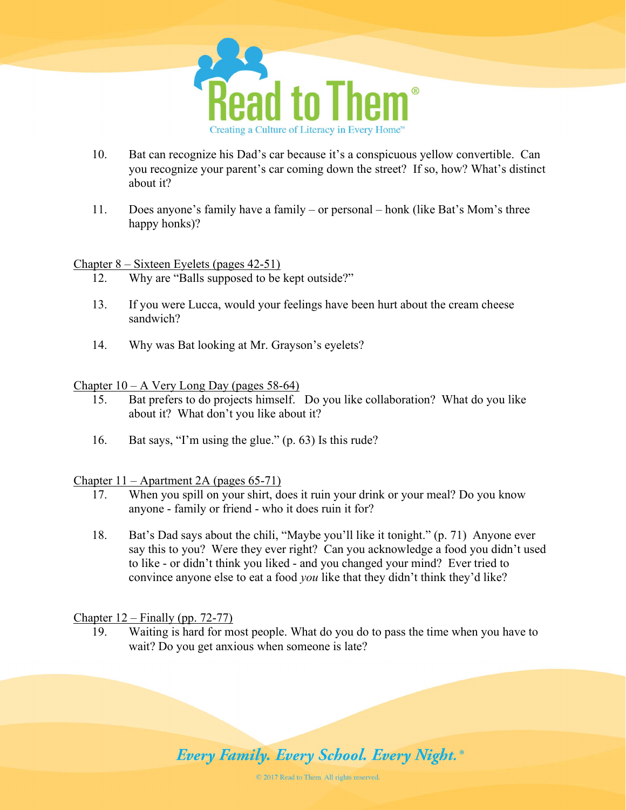

- 10. Bat can recognize his Dad's car because it's a conspicuous yellow convertible. Can you recognize your parent's car coming down the street? If so, how? What's distinct about it?
- 11. Does anyone's family have a family or personal honk (like Bat's Mom's three happy honks)?

#### Chapter 8 – Sixteen Eyelets (pages 42-51)

- 12. Why are "Balls supposed to be kept outside?"
- 13. If you were Lucca, would your feelings have been hurt about the cream cheese sandwich?
- 14. Why was Bat looking at Mr. Grayson's eyelets?

#### Chapter  $10 - A$  Very Long Day (pages 58-64)

- 15. Bat prefers to do projects himself. Do you like collaboration? What do you like about it? What don't you like about it?
- 16. Bat says, "I'm using the glue." (p. 63) Is this rude?

#### Chapter 11 – Apartment 2A (pages 65-71)

- 17. When you spill on your shirt, does it ruin your drink or your meal? Do you know anyone - family or friend - who it does ruin it for?
- 18. Bat's Dad says about the chili, "Maybe you'll like it tonight." (p. 71) Anyone ever say this to you? Were they ever right? Can you acknowledge a food you didn't used to like - or didn't think you liked - and you changed your mind? Ever tried to convince anyone else to eat a food *you* like that they didn't think they'd like?

Chapter  $12$  – Finally (pp. 72-77)

19. Waiting is hard for most people. What do you do to pass the time when you have to wait? Do you get anxious when someone is late?

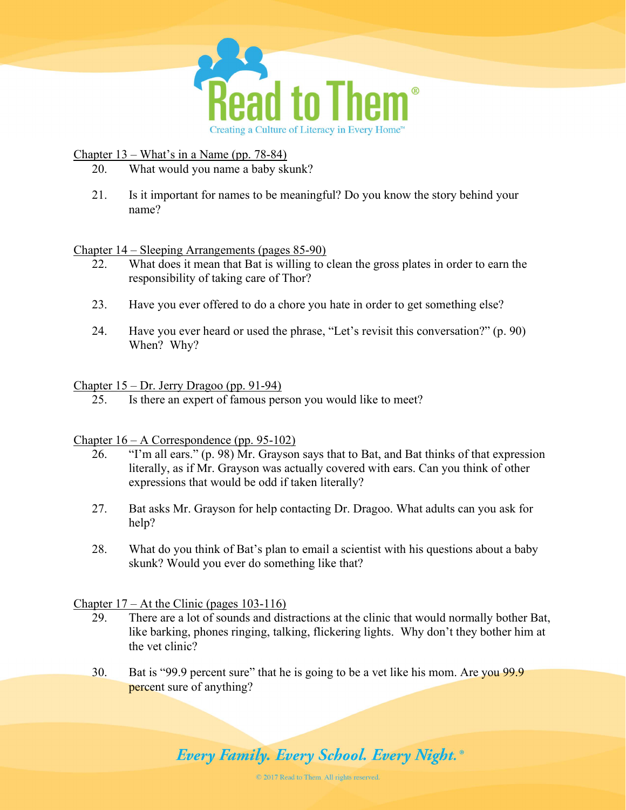

Chapter 13 – What's in a Name (pp. 78-84)

- 20. What would you name a baby skunk?
- 21. Is it important for names to be meaningful? Do you know the story behind your name?

Chapter 14 – Sleeping Arrangements (pages 85-90)

- 22. What does it mean that Bat is willing to clean the gross plates in order to earn the responsibility of taking care of Thor?
- 23. Have you ever offered to do a chore you hate in order to get something else?
- 24. Have you ever heard or used the phrase, "Let's revisit this conversation?" (p. 90) When? Why?

## Chapter 15 – Dr. Jerry Dragoo (pp. 91-94)

25. Is there an expert of famous person you would like to meet?

#### Chapter 16 – A Correspondence (pp. 95-102)

- 26. "I'm all ears." (p. 98) Mr. Grayson says that to Bat, and Bat thinks of that expression literally, as if Mr. Grayson was actually covered with ears. Can you think of other expressions that would be odd if taken literally?
- 27. Bat asks Mr. Grayson for help contacting Dr. Dragoo. What adults can you ask for help?
- 28. What do you think of Bat's plan to email a scientist with his questions about a baby skunk? Would you ever do something like that?

# Chapter 17 – At the Clinic (pages 103-116)

- 29. There are a lot of sounds and distractions at the clinic that would normally bother Bat, like barking, phones ringing, talking, flickering lights. Why don't they bother him at the vet clinic?
- 30. Bat is "99.9 percent sure" that he is going to be a vet like his mom. Are you 99.9 percent sure of anything?

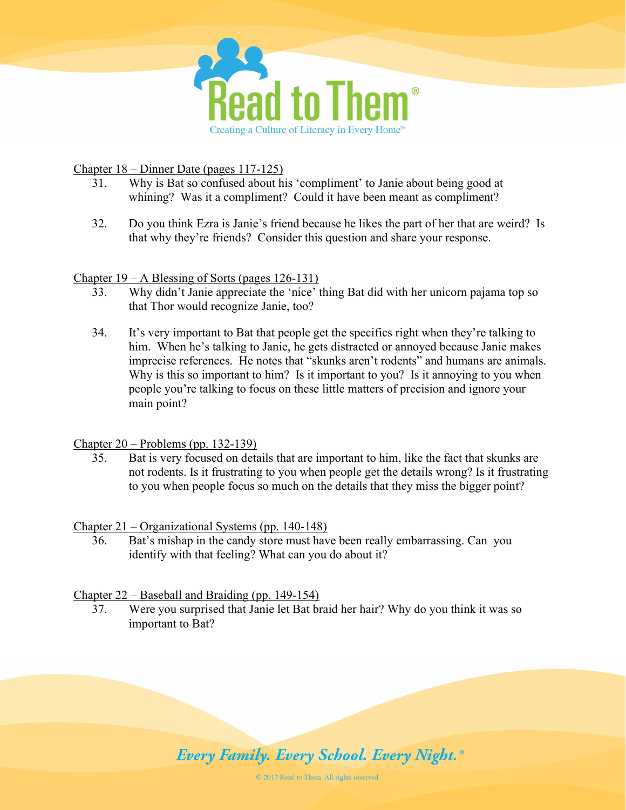

Chapter 18 – Dinner Date (pages 117-125)

- 31. Why is Bat so confused about his 'compliment' to Janie about being good at whining? Was it a compliment? Could it have been meant as compliment?
- 32. Do you think Ezra is Janie's friend because he likes the part of her that are weird? Is that why they're friends? Consider this question and share your response.

# Chapter 19 – A Blessing of Sorts (pages 126-131)

- 33. Why didn't Janie appreciate the 'nice' thing Bat did with her unicorn pajama top so that Thor would recognize Janie, too?
- 34. It's very important to Bat that people get the specifics right when they're talking to him. When he's talking to Janie, he gets distracted or annoyed because Janie makes imprecise references. He notes that "skunks aren't rodents" and humans are animals. Why is this so important to him? Is it important to you? Is it annoying to you when people you're talking to focus on these little matters of precision and ignore your main point?

#### Chapter 20 – Problems (pp. 132-139)

35. Bat is very focused on details that are important to him, like the fact that skunks are not rodents. Is it frustrating to you when people get the details wrong? Is it frustrating to you when people focus so much on the details that they miss the bigger point?

#### Chapter 21 – Organizational Systems (pp. 140-148)

36. Bat's mishap in the candy store must have been really embarrassing. Can you identify with that feeling? What can you do about it?

# Chapter 22 – Baseball and Braiding (pp. 149-154)

37. Were you surprised that Janie let Bat braid her hair? Why do you think it was so important to Bat?